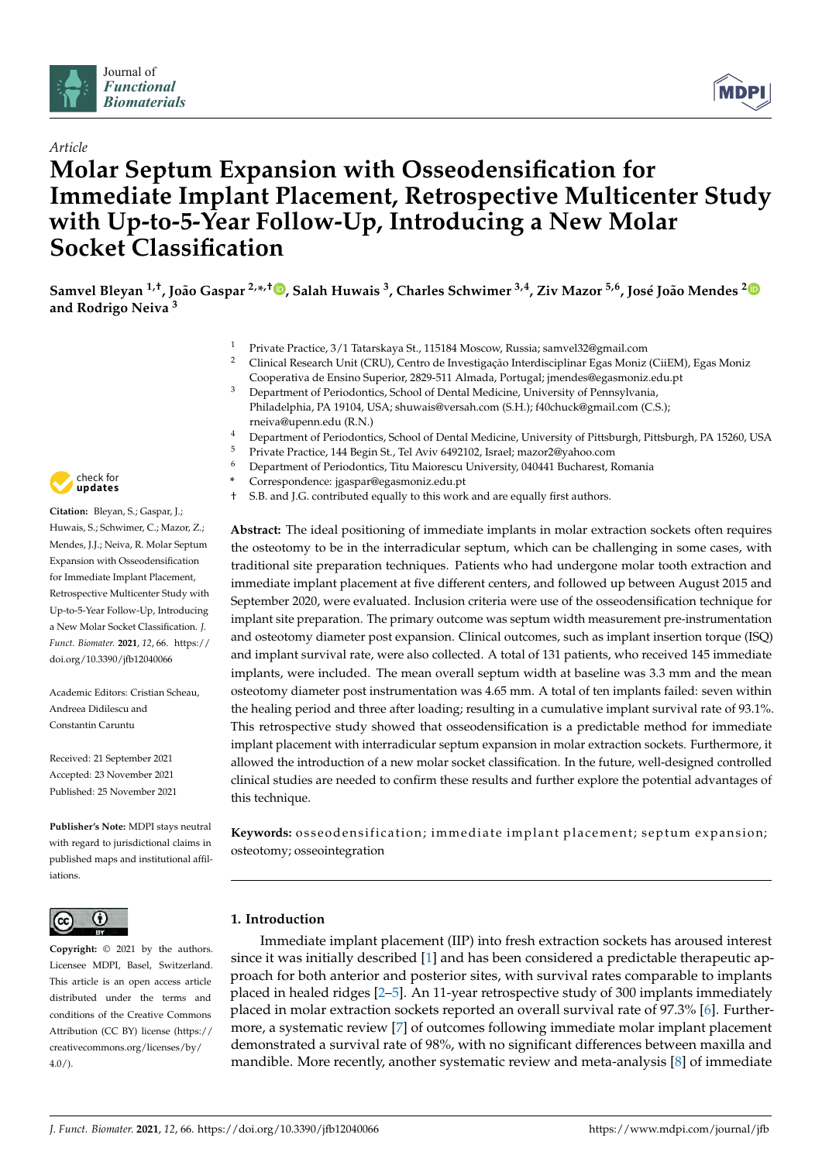



# *Article* **Molar Septum Expansion with Osseodensification for Immediate Implant Placement, Retrospective Multicenter Study with Up-to-5-Year Follow-Up, Introducing a New Molar Socket Classification**

Samvel Bleyan <sup>1[,](https://orcid.org/0000-0002-2758-2667)†</sup>, João Gaspar <sup>[2](https://orcid.org/0000-0003-0167-4077),</sup>\*,†D, Salah Huwais <sup>3</sup>, Charles Schwimer <sup>3,4</sup>, Ziv Mazor <sup>5,6</sup>, José João Mendes <sup>2</sup> **and Rodrigo Neiva <sup>3</sup>**

- <sup>1</sup> Private Practice, 3/1 Tatarskaya St., 115184 Moscow, Russia; samvel32@gmail.com
- <sup>2</sup> Clinical Research Unit (CRU), Centro de Investigação Interdisciplinar Egas Moniz (CiiEM), Egas Moniz Cooperativa de Ensino Superior, 2829-511 Almada, Portugal; jmendes@egasmoniz.edu.pt
- <sup>3</sup> Department of Periodontics, School of Dental Medicine, University of Pennsylvania, Philadelphia, PA 19104, USA; shuwais@versah.com (S.H.); f40chuck@gmail.com (C.S.); rneiva@upenn.edu (R.N.)
- <sup>4</sup> Department of Periodontics, School of Dental Medicine, University of Pittsburgh, Pittsburgh, PA 15260, USA<br><sup>5</sup> Prints Practice, 144 Peain St. Tal Aviv 6402102 Janeal magaz<sup>0</sup>@vahee eem.
- <sup>5</sup> Private Practice, 144 Begin St., Tel Aviv 6492102, Israel; mazor2@yahoo.com
- <sup>6</sup> Department of Periodontics, Titu Maiorescu University, 040441 Bucharest, Romania
- **\*** Correspondence: jgaspar@egasmoniz.edu.pt
- † S.B. and J.G. contributed equally to this work and are equally first authors.

**Abstract:** The ideal positioning of immediate implants in molar extraction sockets often requires the osteotomy to be in the interradicular septum, which can be challenging in some cases, with traditional site preparation techniques. Patients who had undergone molar tooth extraction and immediate implant placement at five different centers, and followed up between August 2015 and September 2020, were evaluated. Inclusion criteria were use of the osseodensification technique for implant site preparation. The primary outcome was septum width measurement pre-instrumentation and osteotomy diameter post expansion. Clinical outcomes, such as implant insertion torque (ISQ) and implant survival rate, were also collected. A total of 131 patients, who received 145 immediate implants, were included. The mean overall septum width at baseline was 3.3 mm and the mean osteotomy diameter post instrumentation was 4.65 mm. A total of ten implants failed: seven within the healing period and three after loading; resulting in a cumulative implant survival rate of 93.1%. This retrospective study showed that osseodensification is a predictable method for immediate implant placement with interradicular septum expansion in molar extraction sockets. Furthermore, it allowed the introduction of a new molar socket classification. In the future, well-designed controlled clinical studies are needed to confirm these results and further explore the potential advantages of this technique.

Keywords: osseodensification; immediate implant placement; septum expansion; osteotomy; osseointegration

### **1. Introduction**

Immediate implant placement (IIP) into fresh extraction sockets has aroused interest since it was initially described [\[1\]](#page-13-0) and has been considered a predictable therapeutic approach for both anterior and posterior sites, with survival rates comparable to implants placed in healed ridges [\[2](#page-13-1)[–5\]](#page-13-2). An 11-year retrospective study of 300 implants immediately placed in molar extraction sockets reported an overall survival rate of 97.3% [\[6\]](#page-13-3). Furthermore, a systematic review [\[7\]](#page-13-4) of outcomes following immediate molar implant placement demonstrated a survival rate of 98%, with no significant differences between maxilla and mandible. More recently, another systematic review and meta-analysis [\[8\]](#page-13-5) of immediate



**Citation:** Bleyan, S.; Gaspar, J.; Huwais, S.; Schwimer, C.; Mazor, Z.; Mendes, J.J.; Neiva, R. Molar Septum Expansion with Osseodensification for Immediate Implant Placement, Retrospective Multicenter Study with Up-to-5-Year Follow-Up, Introducing a New Molar Socket Classification. *J. Funct. Biomater.* **2021**, *12*, 66. [https://](https://doi.org/10.3390/jfb12040066) [doi.org/10.3390/jfb12040066](https://doi.org/10.3390/jfb12040066)

Academic Editors: Cristian Scheau, Andreea Didilescu and Constantin Caruntu

Received: 21 September 2021 Accepted: 23 November 2021 Published: 25 November 2021

**Publisher's Note:** MDPI stays neutral with regard to jurisdictional claims in published maps and institutional affiliations.



**Copyright:** © 2021 by the authors. Licensee MDPI, Basel, Switzerland. This article is an open access article distributed under the terms and conditions of the Creative Commons Attribution (CC BY) license (https:/[/](https://creativecommons.org/licenses/by/4.0/) [creativecommons.org/licenses/by/](https://creativecommons.org/licenses/by/4.0/)  $4.0/$ ).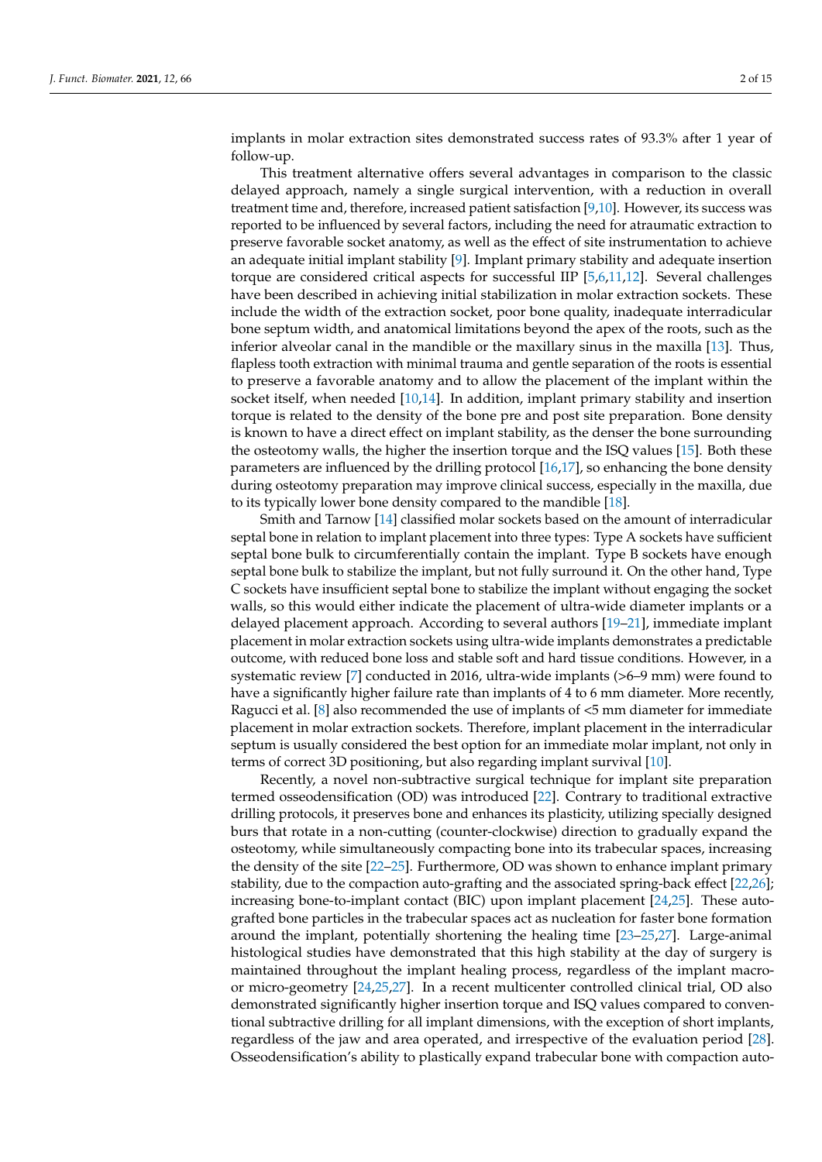implants in molar extraction sites demonstrated success rates of 93.3% after 1 year of follow-up.

This treatment alternative offers several advantages in comparison to the classic delayed approach, namely a single surgical intervention, with a reduction in overall treatment time and, therefore, increased patient satisfaction [\[9,](#page-13-6)[10\]](#page-13-7). However, its success was reported to be influenced by several factors, including the need for atraumatic extraction to preserve favorable socket anatomy, as well as the effect of site instrumentation to achieve an adequate initial implant stability [\[9\]](#page-13-6). Implant primary stability and adequate insertion torque are considered critical aspects for successful IIP [\[5](#page-13-2)[,6](#page-13-3)[,11,](#page-13-8)[12\]](#page-13-9). Several challenges have been described in achieving initial stabilization in molar extraction sockets. These include the width of the extraction socket, poor bone quality, inadequate interradicular bone septum width, and anatomical limitations beyond the apex of the roots, such as the inferior alveolar canal in the mandible or the maxillary sinus in the maxilla [\[13\]](#page-13-10). Thus, flapless tooth extraction with minimal trauma and gentle separation of the roots is essential to preserve a favorable anatomy and to allow the placement of the implant within the socket itself, when needed [\[10,](#page-13-7)[14\]](#page-13-11). In addition, implant primary stability and insertion torque is related to the density of the bone pre and post site preparation. Bone density is known to have a direct effect on implant stability, as the denser the bone surrounding the osteotomy walls, the higher the insertion torque and the ISQ values [\[15\]](#page-13-12). Both these parameters are influenced by the drilling protocol [\[16,](#page-13-13)[17\]](#page-13-14), so enhancing the bone density during osteotomy preparation may improve clinical success, especially in the maxilla, due to its typically lower bone density compared to the mandible [\[18\]](#page-13-15).

Smith and Tarnow [\[14\]](#page-13-11) classified molar sockets based on the amount of interradicular septal bone in relation to implant placement into three types: Type A sockets have sufficient septal bone bulk to circumferentially contain the implant. Type B sockets have enough septal bone bulk to stabilize the implant, but not fully surround it. On the other hand, Type C sockets have insufficient septal bone to stabilize the implant without engaging the socket walls, so this would either indicate the placement of ultra-wide diameter implants or a delayed placement approach. According to several authors [\[19–](#page-13-16)[21\]](#page-13-17), immediate implant placement in molar extraction sockets using ultra-wide implants demonstrates a predictable outcome, with reduced bone loss and stable soft and hard tissue conditions. However, in a systematic review [\[7\]](#page-13-4) conducted in 2016, ultra-wide implants (>6–9 mm) were found to have a significantly higher failure rate than implants of 4 to 6 mm diameter. More recently, Ragucci et al. [\[8\]](#page-13-5) also recommended the use of implants of <5 mm diameter for immediate placement in molar extraction sockets. Therefore, implant placement in the interradicular septum is usually considered the best option for an immediate molar implant, not only in terms of correct 3D positioning, but also regarding implant survival [\[10\]](#page-13-7).

Recently, a novel non-subtractive surgical technique for implant site preparation termed osseodensification (OD) was introduced [\[22\]](#page-13-18). Contrary to traditional extractive drilling protocols, it preserves bone and enhances its plasticity, utilizing specially designed burs that rotate in a non-cutting (counter-clockwise) direction to gradually expand the osteotomy, while simultaneously compacting bone into its trabecular spaces, increasing the density of the site [\[22](#page-13-18)[–25\]](#page-13-19). Furthermore, OD was shown to enhance implant primary stability, due to the compaction auto-grafting and the associated spring-back effect [\[22](#page-13-18)[,26\]](#page-13-20); increasing bone-to-implant contact (BIC) upon implant placement [\[24,](#page-13-21)[25\]](#page-13-19). These autografted bone particles in the trabecular spaces act as nucleation for faster bone formation around the implant, potentially shortening the healing time [\[23](#page-13-22)[–25](#page-13-19)[,27\]](#page-13-23). Large-animal histological studies have demonstrated that this high stability at the day of surgery is maintained throughout the implant healing process, regardless of the implant macroor micro-geometry [\[24,](#page-13-21)[25,](#page-13-19)[27\]](#page-13-23). In a recent multicenter controlled clinical trial, OD also demonstrated significantly higher insertion torque and ISQ values compared to conventional subtractive drilling for all implant dimensions, with the exception of short implants, regardless of the jaw and area operated, and irrespective of the evaluation period [\[28\]](#page-14-0). Osseodensification's ability to plastically expand trabecular bone with compaction auto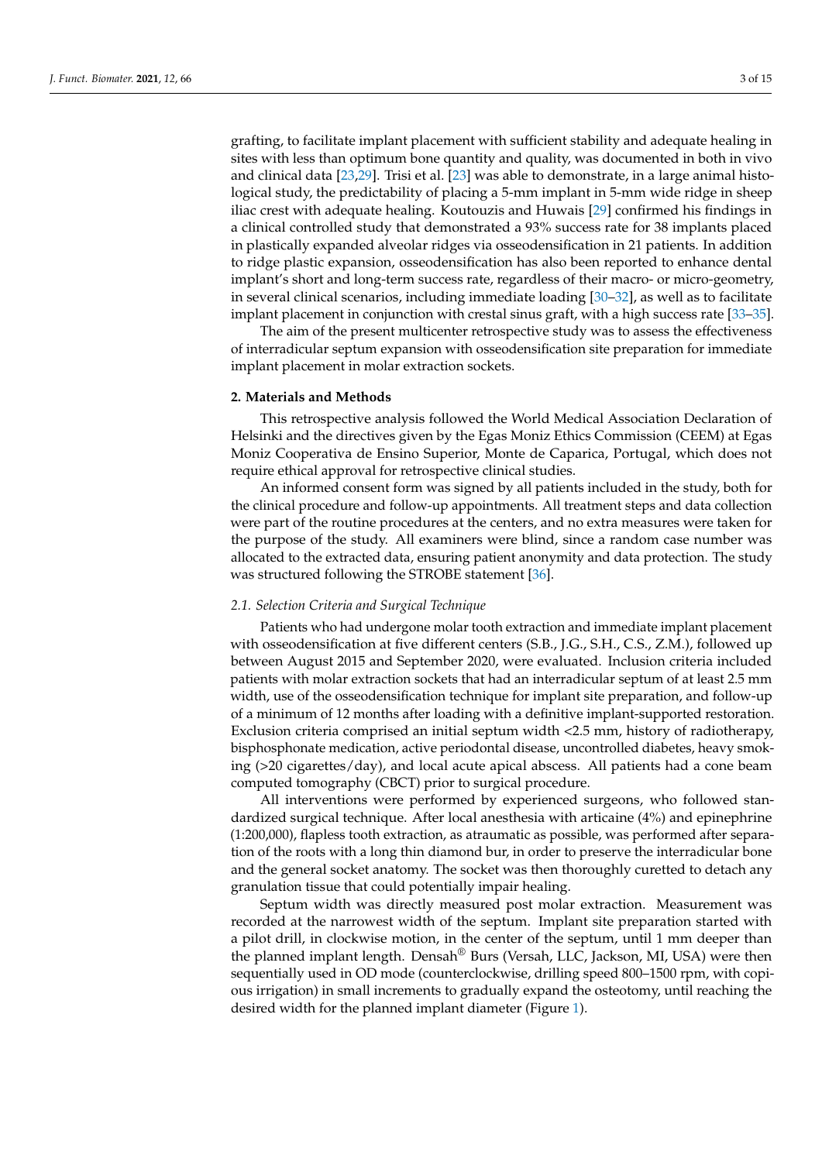grafting, to facilitate implant placement with sufficient stability and adequate healing in sites with less than optimum bone quantity and quality, was documented in both in vivo and clinical data [\[23](#page-13-22)[,29\]](#page-14-1). Trisi et al. [\[23\]](#page-13-22) was able to demonstrate, in a large animal histological study, the predictability of placing a 5-mm implant in 5-mm wide ridge in sheep iliac crest with adequate healing. Koutouzis and Huwais [\[29\]](#page-14-1) confirmed his findings in a clinical controlled study that demonstrated a 93% success rate for 38 implants placed in plastically expanded alveolar ridges via osseodensification in 21 patients. In addition to ridge plastic expansion, osseodensification has also been reported to enhance dental implant's short and long-term success rate, regardless of their macro- or micro-geometry, in several clinical scenarios, including immediate loading  $[30-32]$  $[30-32]$ , as well as to facilitate implant placement in conjunction with crestal sinus graft, with a high success rate [\[33](#page-14-4)-35].

The aim of the present multicenter retrospective study was to assess the effectiveness of interradicular septum expansion with osseodensification site preparation for immediate implant placement in molar extraction sockets.

#### **2. Materials and Methods**

This retrospective analysis followed the World Medical Association Declaration of Helsinki and the directives given by the Egas Moniz Ethics Commission (CEEM) at Egas Moniz Cooperativa de Ensino Superior, Monte de Caparica, Portugal, which does not require ethical approval for retrospective clinical studies.

An informed consent form was signed by all patients included in the study, both for the clinical procedure and follow-up appointments. All treatment steps and data collection were part of the routine procedures at the centers, and no extra measures were taken for the purpose of the study. All examiners were blind, since a random case number was allocated to the extracted data, ensuring patient anonymity and data protection. The study was structured following the STROBE statement [\[36\]](#page-14-6).

#### *2.1. Selection Criteria and Surgical Technique*

Patients who had undergone molar tooth extraction and immediate implant placement with osseodensification at five different centers (S.B., J.G., S.H., C.S., Z.M.), followed up between August 2015 and September 2020, were evaluated. Inclusion criteria included patients with molar extraction sockets that had an interradicular septum of at least 2.5 mm width, use of the osseodensification technique for implant site preparation, and follow-up of a minimum of 12 months after loading with a definitive implant-supported restoration. Exclusion criteria comprised an initial septum width <2.5 mm, history of radiotherapy, bisphosphonate medication, active periodontal disease, uncontrolled diabetes, heavy smoking (>20 cigarettes/day), and local acute apical abscess. All patients had a cone beam computed tomography (CBCT) prior to surgical procedure.

All interventions were performed by experienced surgeons, who followed standardized surgical technique. After local anesthesia with articaine (4%) and epinephrine (1:200,000), flapless tooth extraction, as atraumatic as possible, was performed after separation of the roots with a long thin diamond bur, in order to preserve the interradicular bone and the general socket anatomy. The socket was then thoroughly curetted to detach any granulation tissue that could potentially impair healing.

Septum width was directly measured post molar extraction. Measurement was recorded at the narrowest width of the septum. Implant site preparation started with a pilot drill, in clockwise motion, in the center of the septum, until 1 mm deeper than the planned implant length. Densah® Burs (Versah, LLC, Jackson, MI, USA) were then sequentially used in OD mode (counterclockwise, drilling speed 800–1500 rpm, with copious irrigation) in small increments to gradually expand the osteotomy, until reaching the desired width for the planned implant diameter (Figure [1\)](#page-3-0).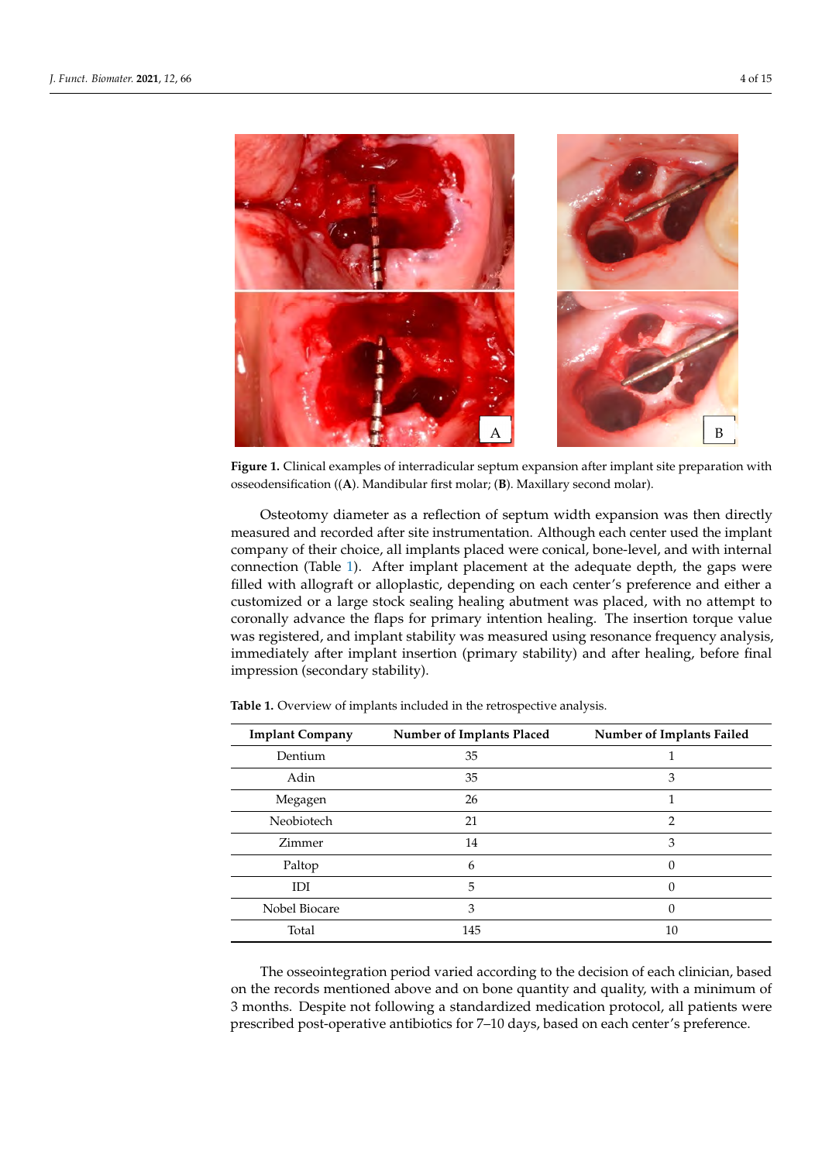<span id="page-3-0"></span>

**Figure 1.** Clinical examples of interradicular septum expansion after implant site preparation with **Figure 1.** Clinical examples of interradicular septum expansion after implant site preparation with osseodensification ((**A**). Mandibular first molar; (**B**). Maxillary second molar). osseodensification ((**A**). Mandibular first molar; (**B**). Maxillary second molar).

Osteotomy diameter as a reflection of septum width expansion was then directly Osteotomy diameter as a reflection of septum width expansion was then directly measured and recorded after site instrumentation. Although each center used the implant measured and recorded after site instrumentation. Although each center used the implant company of their choice, all implants placed were conical, bone-level, and with internal company of their choice, all implants placed were conical, bone-level, and with internal connection (Table [1\)](#page-3-1). After implant placement at the adequate depth, the gaps were with allograft or alloplastic, depending on each center's preference and either a filled with allograft or alloplastic, depending on each center's preference and either a customized or a large stock sealing healing abutment was placed, with no attempt to customized or a large stock sealing healing abutment was placed, with no attempt to coronally advance the flaps for primary intention healing. The insertion torque value registered, and implant stability was measured using resonance frequency analysis, was registered, and implant stability was measured using resonance frequency analysis, immediately after implant insertion (primary stability) and after healing, before final immediately after implant insertion (primary stability) and after healing, before final impression (secondary stability). impression (secondary stability).

| <b>Implant Company</b> | Number of Implants Placed | Number of Implants Failed |  |
|------------------------|---------------------------|---------------------------|--|
| Dentium                | 35                        |                           |  |
| Adin                   | 35                        | 3                         |  |
| Megagen                | 26                        |                           |  |
| Neobiotech             | 21                        | 2                         |  |
| Zimmer                 | 14                        | 3                         |  |
| Paltop                 | 6                         | 0                         |  |
| IDI                    | 5                         | 0                         |  |
| Nobel Biocare          | 3                         |                           |  |
| Total                  | 145                       | 10                        |  |

<span id="page-3-1"></span>**Table 1.** Overview of implants included in the retrospective analysis. **Table 1.** Overview of implants included in the retrospective analysis.

The osseointegration period varied according to the decision of each clinician, based The osseointegration period varied according to the decision of each clinician, based<br>decision of 3  $\mu$ on the records mentioned above and on bone quantity and quality, with a minimum of<br>2. months. Despite not following a standardized medication protocol, all patients were prescribed post-operative antibiotics for 7–10 days, based on each center's preference. prescribed post-operative antibiotics for 7–10 days, based on each center's preference.3 months. Despite not following a standardized medication protocol, all patients were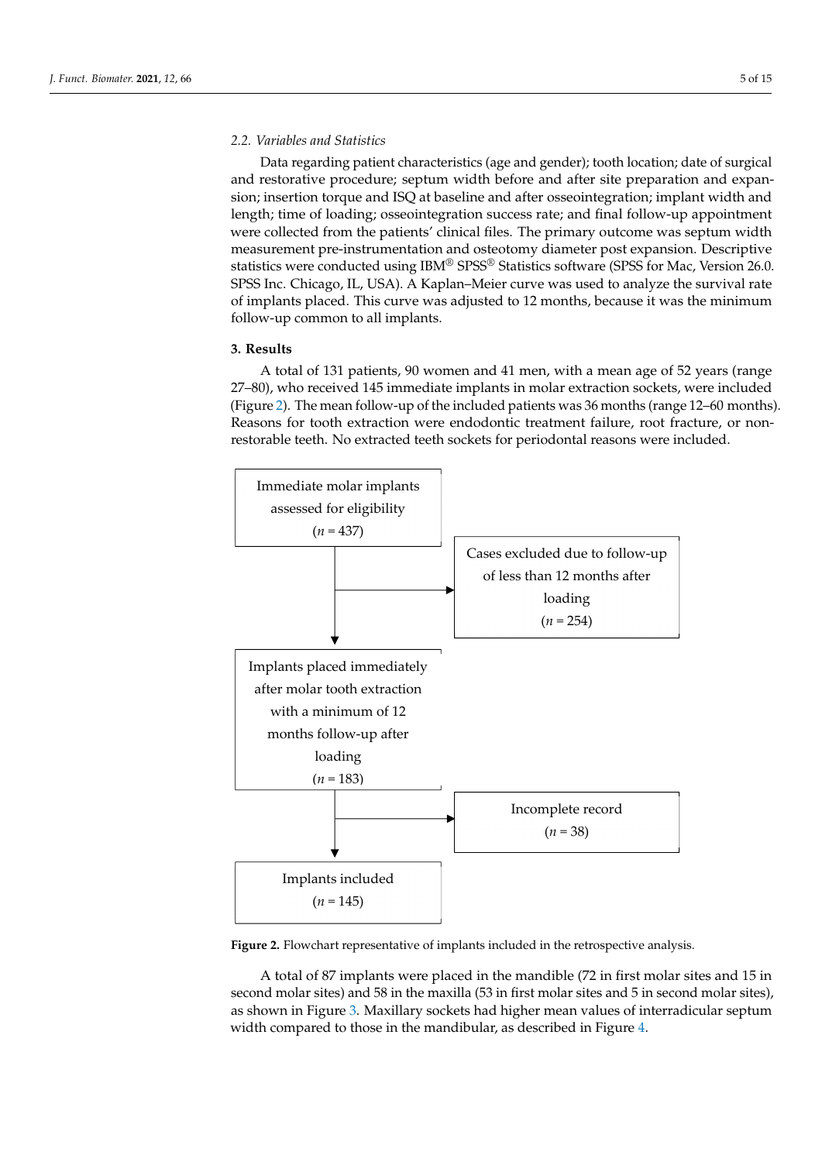### *2.2. Variables and Statistics 2.2. Variables and Statistics*

Data regarding patient characteristics (age and gender); tooth location; date of surgical Data regarding patient characteristics (age and gender); tooth location; date of and restorative procedure; septum width before and after site preparation and expansion; insertion torque and ISQ at baseline and after osseointegration; implant width and length; time of loading; osseointegration success rate; and final follow-up appointment were collected from the patients' clinical files. The primary outcome was septum width measurement pre-instrumentation and osteotomy diameter post expansion. Descriptive statistics were conducted using  $IBM^{\circledR}$  SPSS $^{\circledR}$  Statistics software (SPSS for Mac, Version 26.0. SPSS Inc. Chicago, IL, USA). A Kaplan–Meier curve was used to analyze the survival rate of implants placed. This curve was adjusted to 12 months, because it was the minimum follow-up common to all implants.

### **3. Results 3. Results**

A total of 131 patients, 90 women and 41 men, with a mean age of 52 years (range A total of 131 patients, 90 women and 41 men, with a mean age of 52 years (range 27– 27–80), who received 145 immediate implants in molar extraction sockets, were included (Figure [2\)](#page-4-0). The mean follow-up of the included patients was 36 months (range 12–60 months). (Figure 2). The mean follow-up of the included patients was 36 months (range 12–60 Reasons for tooth extraction were endodontic treatment failure, root fracture, or nonrestorable teeth. No extracted teeth sockets for periodontal reasons were included.

<span id="page-4-0"></span>

**Figure 2.** Flowchart representative of implants included in the retrospective analysis. **Figure 2.** Flowchart representative of implants included in the retrospective analysis.

A total of 87 implants were placed in the mandible (72 in first molar sites and 15 in A total of 87 implants were placed in the mandible (72 in first molar sites and 15 in second molar sites) and 58 in the maxilla (53 in first molar sites and 5 in second molar second molar sites) and 58 in the maxilla (53 in first molar sites and 5 in second molar sites), as shown in Fig[ure](#page-5-0) 3. Maxillary sockets had higher mean values of interradicular septum width compared to those in the mandibular, as described in Fi[gu](#page-5-1)re 4.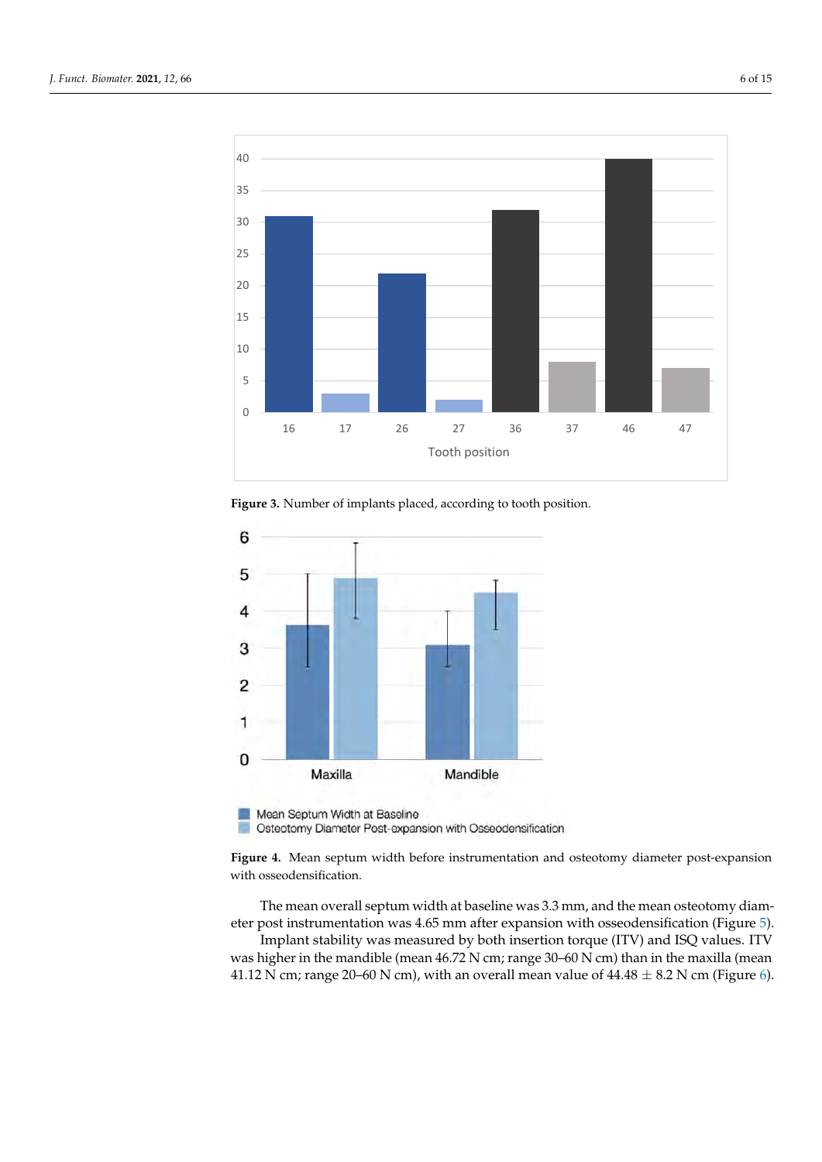<span id="page-5-0"></span>

**Figure 3.** Number of implants placed, according to tooth position. **Figure 3.** Number of implants placed, according to tooth position.

<span id="page-5-1"></span>

Osteotomy Diameter Post-expansion with Osseodensification

**Figure 4.** Mean septum width before instrumentation and osteotomy diameter post-expansion<br>with osseodonsification diameter post instrumentation. with osseodensification.

The mean overall septum width at baseline was 3.3 mm, and the mean osteotomy diameter post instrumentation was 4.65 mm after exp[an](#page-6-0)sion with osseodensification (Figure 5).

michant stability was included by both insertion torque  $(1 \text{ V})$  and  $15Q$  values. If  $\text{V}$  was higher in the mandible (mean 46.72 N cm; range 30–60 N cm) than in the maxilla (mean 41.12 N cm; range 20–60 N cm), with an overall mean value of  $44.48 \pm 8.2$  N cm (Figure [6\)](#page-6-1). Implant stability was measured by both insertion torque (ITV) and ISQ values. ITV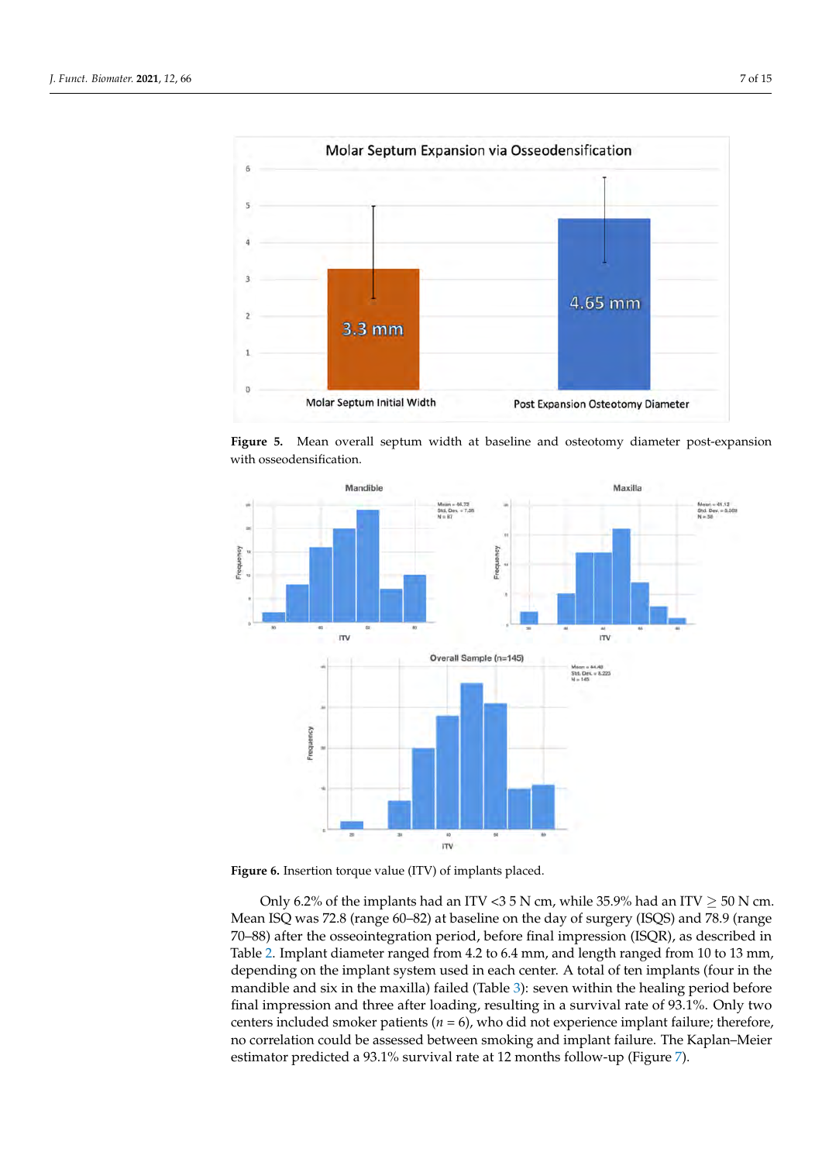<span id="page-6-0"></span>

Figure 5. Mean overall septum width at baseline and osteotomy diameter post-expansion righteer. Them even

<span id="page-6-1"></span>

**Figure 6.** Insertion torque value (ITV) of implants placed. **Figure 6.** Insertion torque value (ITV) of implants placed.

Table 2. Implant diameter ranged from 4.2 to 6.4 mm, and length ranged from 10 to 13 mm, mandible and six in the maxilla) failed (Table 3): seven within the healing period before final impression and three after loading, resulting in a survival rate of 93.1%. Only two centers included smoker patients ( $n = 6$ ), who did not experience implant failure; therefore, no correlation could be assessed between smoking and implant failure. The Kaplan–Meier Only 6.2% of the implants had an ITV <3 5 N cm, while 35.9% had an ITV  $\geq$  50 N cm. Mean ISQ was 72.8 (range 60–82) at baseline on the day of surgery (ISQS) and 78.9 (range Mean ISQ was 72.8 (range 60–82) at baseline on the day of surgery (ISQS) and 78.9 (range 70–88) after the osseointegration period, before final impression (ISQR), as described in 70–88) after the osseointegration period, before final impression (ISQR), as described in depending on the implant system used in each center. A total of ten implants (four in the estimator predicted a 93.1% survival rate at 12 months follow-up (Figure [7\)](#page-7-2).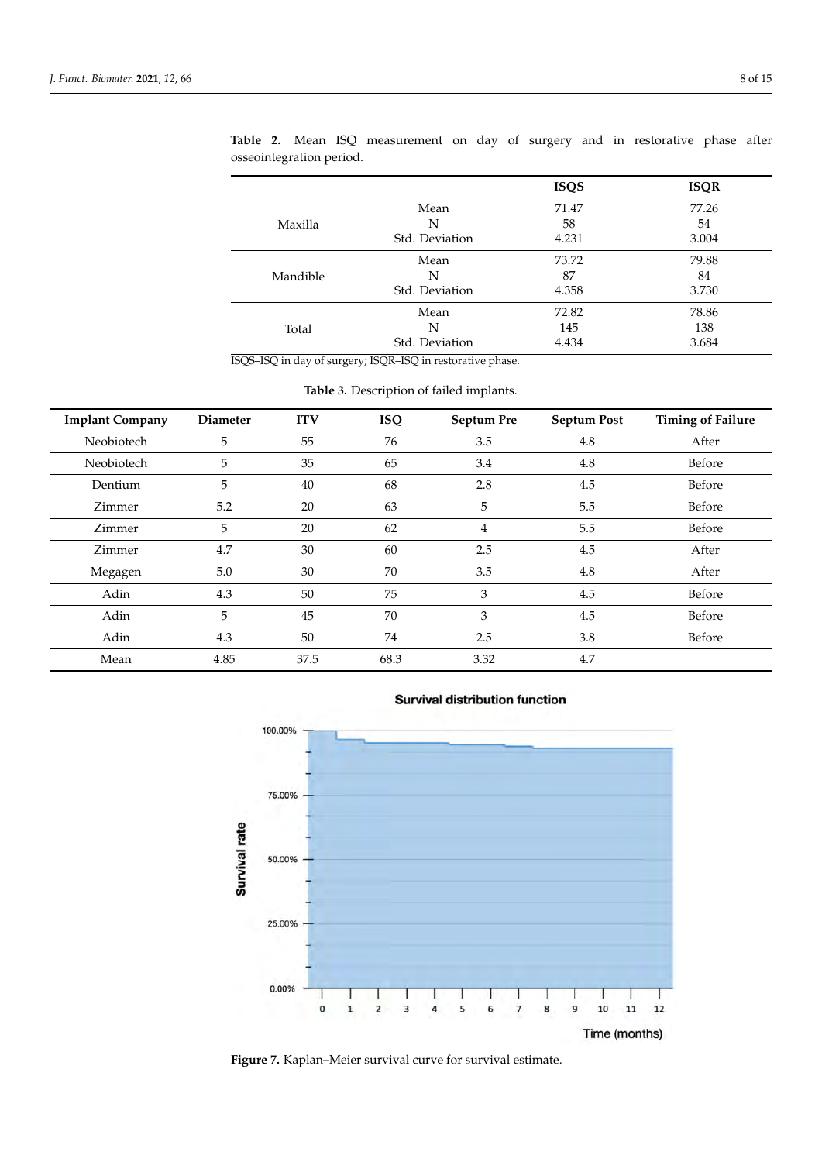|          |                | <b>ISQS</b> | <b>ISQR</b> |
|----------|----------------|-------------|-------------|
| Maxilla  | Mean           | 71.47       | 77.26       |
|          | N              | 58          | 54          |
|          | Std. Deviation | 4.231       | 3.004       |
| Mandible | Mean           | 73.72       | 79.88       |
|          | N              | 87          | 84          |
|          | Std. Deviation | 4.358       | 3.730       |
| Total    | Mean           | 72.82       | 78.86       |
|          | N              | 145         | 138         |
|          | Std. Deviation | 4.434       | 3.684       |

<span id="page-7-0"></span>**Table 2.** Mean ISQ measurement on day of surgery and in restorative phase after osseointegration period.

ISQS–ISQ in day of surgery; ISQR–ISQ in restorative phase.

<span id="page-7-1"></span>

| <b>Implant Company</b> | <b>Diameter</b> | <b>ITV</b> | <b>ISQ</b> | Septum Pre | <b>Septum Post</b> | <b>Timing of Failure</b> |
|------------------------|-----------------|------------|------------|------------|--------------------|--------------------------|
| Neobiotech             | 5               | 55         | 76         | 3.5        | 4.8                | After                    |
| Neobiotech             | 5               | 35         | 65         | 3.4        | 4.8                | Before                   |
| Dentium                | 5               | 40         | 68         | 2.8        | 4.5                | Before                   |
| Zimmer                 | 5.2             | 20         | 63         | 5          | 5.5                | Before                   |
| Zimmer                 | 5               | 20         | 62         | 4          | 5.5                | Before                   |
| Zimmer                 | 4.7             | 30         | 60         | 2.5        | 4.5                | After                    |
| Megagen                | 5.0             | 30         | 70         | 3.5        | 4.8                | After                    |
| Adin                   | 4.3             | 50         | 75         | 3          | 4.5                | Before                   |
| Adin                   | 5               | 45         | 70         | 3          | 4.5                | Before                   |
| Adin                   | 4.3             | 50         | 74         | 2.5        | 3.8                | Before                   |
| Mean                   | 4.85            | 37.5       | 68.3       | 3.32       | 4.7                |                          |

**Table 3.** Description of failed implants.

<span id="page-7-2"></span>

#### **Survival distribution function**

**Figure 7.** Kaplan–Meier survival curve for survival estimate. **immediate implant in plant is not example in the outer Figure 7.** Kaplan–Meier survival curve for survival estimate.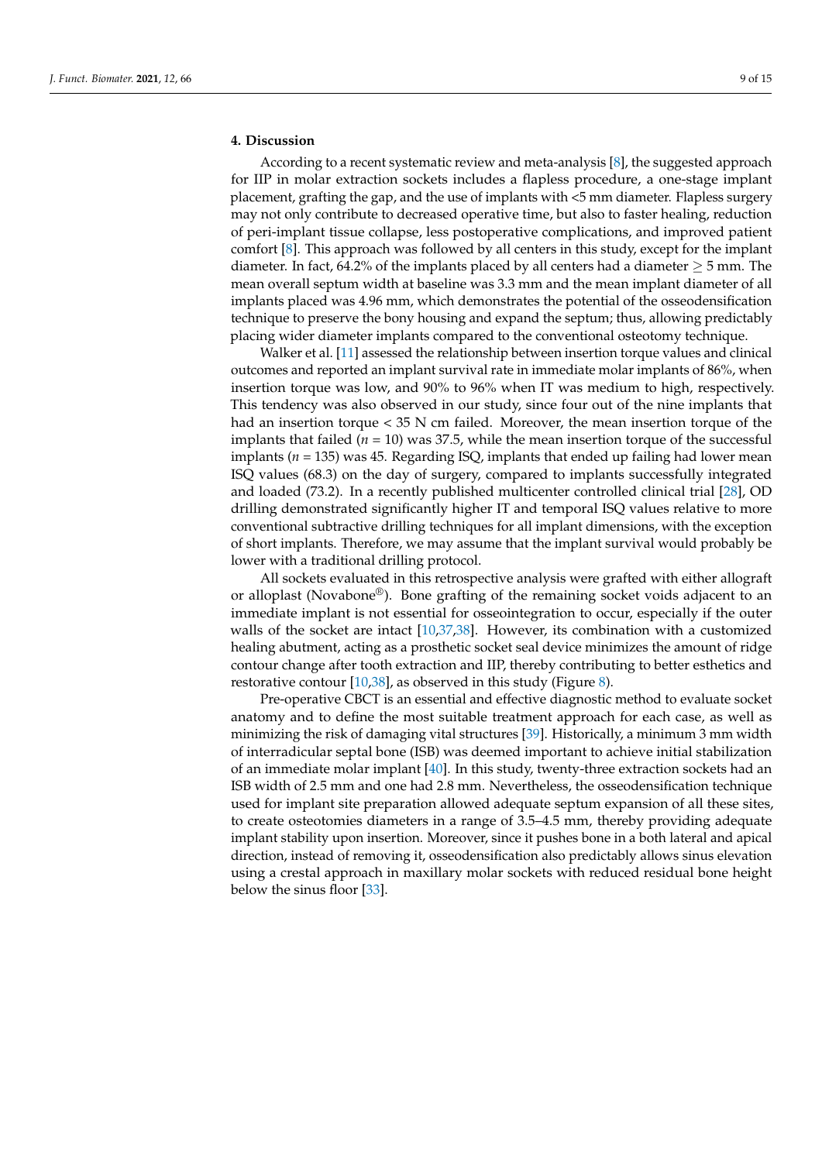#### **4. Discussion**

According to a recent systematic review and meta-analysis [\[8\]](#page-13-5), the suggested approach for IIP in molar extraction sockets includes a flapless procedure, a one-stage implant placement, grafting the gap, and the use of implants with <5 mm diameter. Flapless surgery may not only contribute to decreased operative time, but also to faster healing, reduction of peri-implant tissue collapse, less postoperative complications, and improved patient comfort [\[8\]](#page-13-5). This approach was followed by all centers in this study, except for the implant diameter. In fact, 64.2% of the implants placed by all centers had a diameter  $\geq$  5 mm. The mean overall septum width at baseline was 3.3 mm and the mean implant diameter of all implants placed was 4.96 mm, which demonstrates the potential of the osseodensification technique to preserve the bony housing and expand the septum; thus, allowing predictably placing wider diameter implants compared to the conventional osteotomy technique.

Walker et al. [\[11\]](#page-13-8) assessed the relationship between insertion torque values and clinical outcomes and reported an implant survival rate in immediate molar implants of 86%, when insertion torque was low, and 90% to 96% when IT was medium to high, respectively. This tendency was also observed in our study, since four out of the nine implants that had an insertion torque < 35 N cm failed. Moreover, the mean insertion torque of the implants that failed  $(n = 10)$  was 37.5, while the mean insertion torque of the successful implants (*n* = 135) was 45. Regarding ISQ, implants that ended up failing had lower mean ISQ values (68.3) on the day of surgery, compared to implants successfully integrated and loaded (73.2). In a recently published multicenter controlled clinical trial [\[28\]](#page-14-0), OD drilling demonstrated significantly higher IT and temporal ISQ values relative to more conventional subtractive drilling techniques for all implant dimensions, with the exception of short implants. Therefore, we may assume that the implant survival would probably be lower with a traditional drilling protocol.

All sockets evaluated in this retrospective analysis were grafted with either allograft or alloplast (Novabone®). Bone grafting of the remaining socket voids adjacent to an immediate implant is not essential for osseointegration to occur, especially if the outer walls of the socket are intact [\[10,](#page-13-7)[37,](#page-14-7)[38\]](#page-14-8). However, its combination with a customized healing abutment, acting as a prosthetic socket seal device minimizes the amount of ridge contour change after tooth extraction and IIP, thereby contributing to better esthetics and restorative contour [ $10,38$ ], as observed in this study (Figure [8\)](#page-9-0).

Pre-operative CBCT is an essential and effective diagnostic method to evaluate socket anatomy and to define the most suitable treatment approach for each case, as well as minimizing the risk of damaging vital structures [\[39\]](#page-14-9). Historically, a minimum 3 mm width of interradicular septal bone (ISB) was deemed important to achieve initial stabilization of an immediate molar implant [\[40\]](#page-14-10). In this study, twenty-three extraction sockets had an ISB width of 2.5 mm and one had 2.8 mm. Nevertheless, the osseodensification technique used for implant site preparation allowed adequate septum expansion of all these sites, to create osteotomies diameters in a range of 3.5–4.5 mm, thereby providing adequate implant stability upon insertion. Moreover, since it pushes bone in a both lateral and apical direction, instead of removing it, osseodensification also predictably allows sinus elevation using a crestal approach in maxillary molar sockets with reduced residual bone height below the sinus floor [\[33\]](#page-14-4).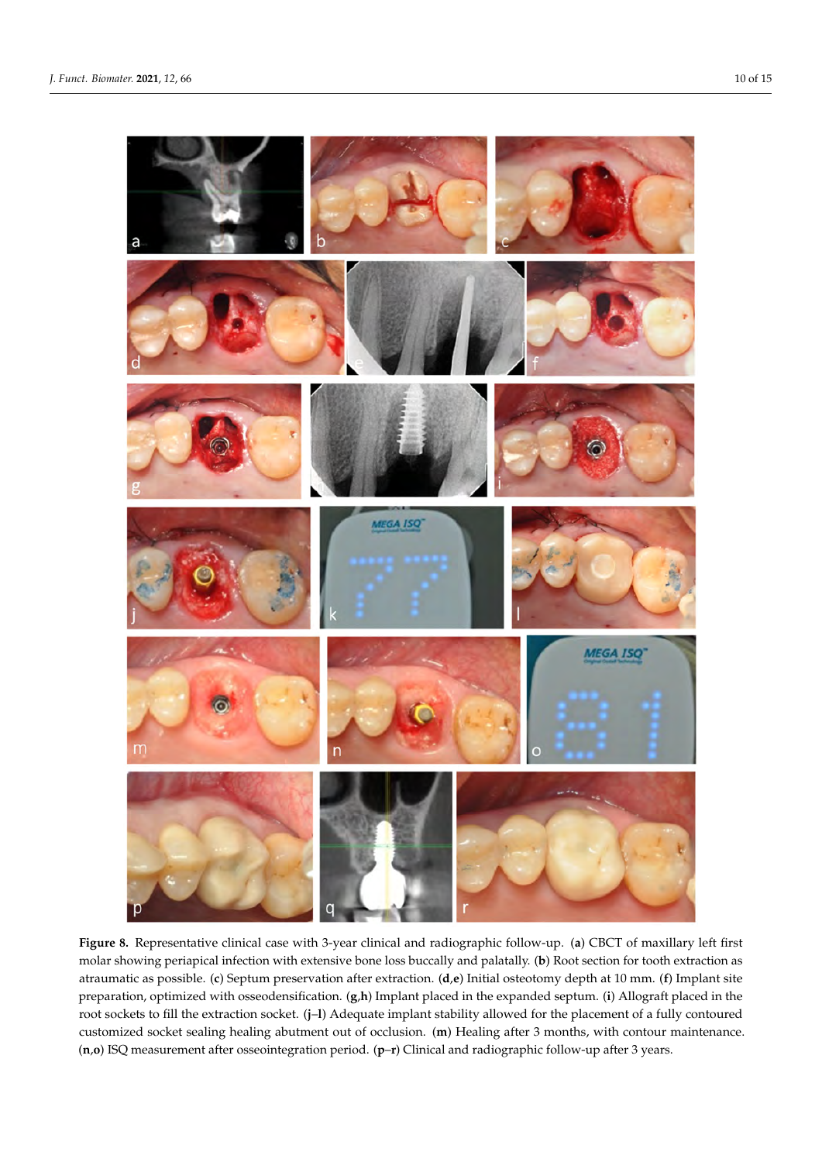<span id="page-9-0"></span>

Figure 8. Representative clinical case with 3-year clinical and radiographic follow-up. (a) CBCT of maxillary left first molar showing periapical infection with extensive bone loss buccally and palatally. (b) Root section for tooth extraction as atraumatic as possible. (c) Septum preservation after extraction.  $(d,e)$  Initial osteotomy depth at 10 mm. (f) Implant site preparation, optimized with osseodensification. (g,h) Implant placed in the expanded septum. (i) Allograft placed in the root sockets to fill the extraction socket. (j–l) Adequate implant stability allowed for the placement of a fully contoured customized socket sealing healing abutment out of occlusion. (**m**) Healing after 3 months, with contour maintenance. (**n**,**o**) ISQ measurement after osseointegration period. (**p**–**r**) Clinical and radiographic follow-up after 3 years.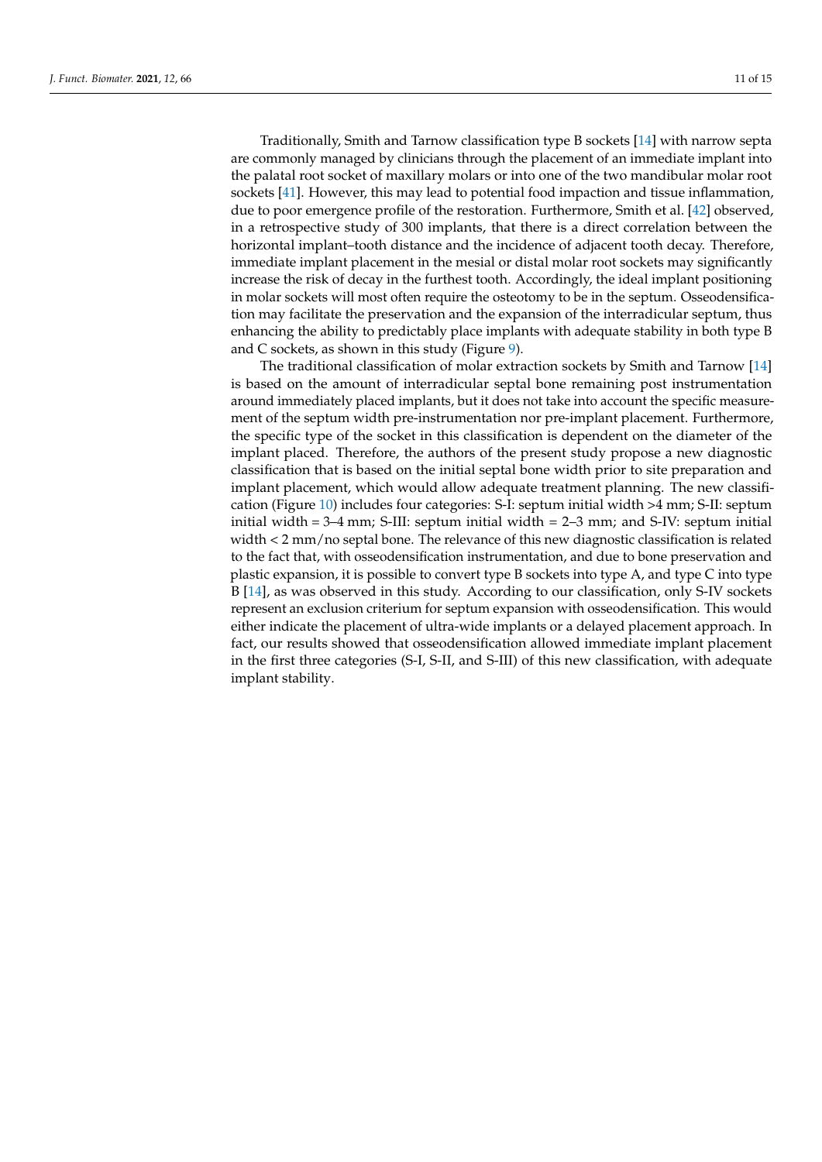Traditionally, Smith and Tarnow classification type B sockets [\[14\]](#page-13-11) with narrow septa are commonly managed by clinicians through the placement of an immediate implant into the palatal root socket of maxillary molars or into one of the two mandibular molar root sockets [\[41\]](#page-14-11). However, this may lead to potential food impaction and tissue inflammation, due to poor emergence profile of the restoration. Furthermore, Smith et al. [\[42\]](#page-14-12) observed, in a retrospective study of 300 implants, that there is a direct correlation between the horizontal implant–tooth distance and the incidence of adjacent tooth decay. Therefore, immediate implant placement in the mesial or distal molar root sockets may significantly increase the risk of decay in the furthest tooth. Accordingly, the ideal implant positioning in molar sockets will most often require the osteotomy to be in the septum. Osseodensification may facilitate the preservation and the expansion of the interradicular septum, thus enhancing the ability to predictably place implants with adequate stability in both type B and C sockets, as shown in this study (Figure [9\)](#page-11-0).

The traditional classification of molar extraction sockets by Smith and Tarnow [\[14\]](#page-13-11) is based on the amount of interradicular septal bone remaining post instrumentation around immediately placed implants, but it does not take into account the specific measurement of the septum width pre-instrumentation nor pre-implant placement. Furthermore, the specific type of the socket in this classification is dependent on the diameter of the implant placed. Therefore, the authors of the present study propose a new diagnostic classification that is based on the initial septal bone width prior to site preparation and implant placement, which would allow adequate treatment planning. The new classification (Figure [10\)](#page-12-0) includes four categories: S-I: septum initial width >4 mm; S-II: septum initial width  $= 3-4$  mm; S-III: septum initial width  $= 2-3$  mm; and S-IV: septum initial width < 2 mm/no septal bone. The relevance of this new diagnostic classification is related to the fact that, with osseodensification instrumentation, and due to bone preservation and plastic expansion, it is possible to convert type B sockets into type A, and type C into type B [\[14\]](#page-13-11), as was observed in this study. According to our classification, only S-IV sockets represent an exclusion criterium for septum expansion with osseodensification. This would either indicate the placement of ultra-wide implants or a delayed placement approach. In fact, our results showed that osseodensification allowed immediate implant placement in the first three categories (S-I, S-II, and S-III) of this new classification, with adequate implant stability.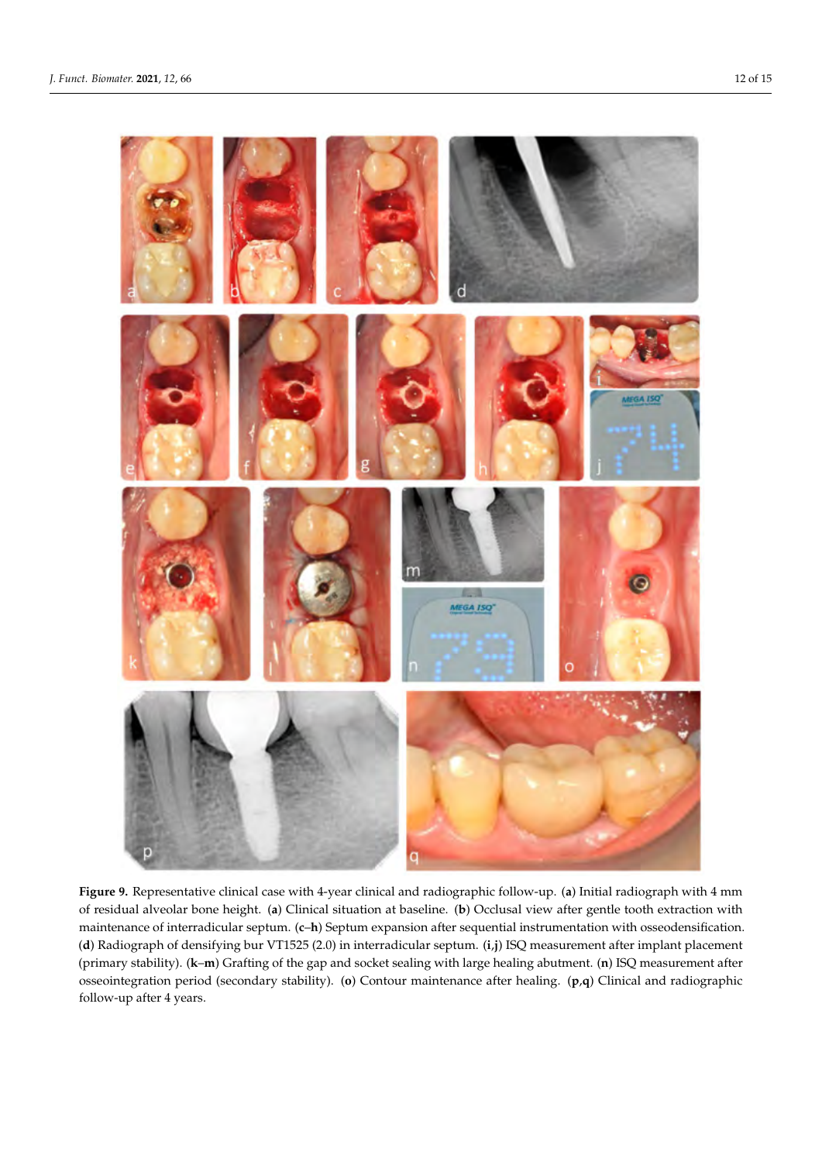<span id="page-11-0"></span>

Figure 9. Representative clinical case with 4-year clinical and radiographic follow-up. (a) Initial radiograph with 4 mm of residual alveolar bone height. (a) Clinical situation at baseline. (b) Occlusal view after gentle tooth extraction with maintenance of interradicular septum. (c–h) Septum expansion after sequential instrumentation with osseodensification. (**d**) Radiograph of densifying bur VT1525 (2.0) in interradicular septum. (**i**,**j**) ISQ measurement after implant placement (**d**) Radiograph of densifying bur VT1525 (2.0) in interradicular septum. (**i,j**) ISQ measurement after implant placement<br>(primary stability). (**k–m**) Grafting of the gap and socket sealing with large healing abutment. (**n** osseointegration period (secondary stability). (o) Contour maintenance after healing. (p,q) Clinical and radiographic follow-up after 4 years. follow-up after 4 years.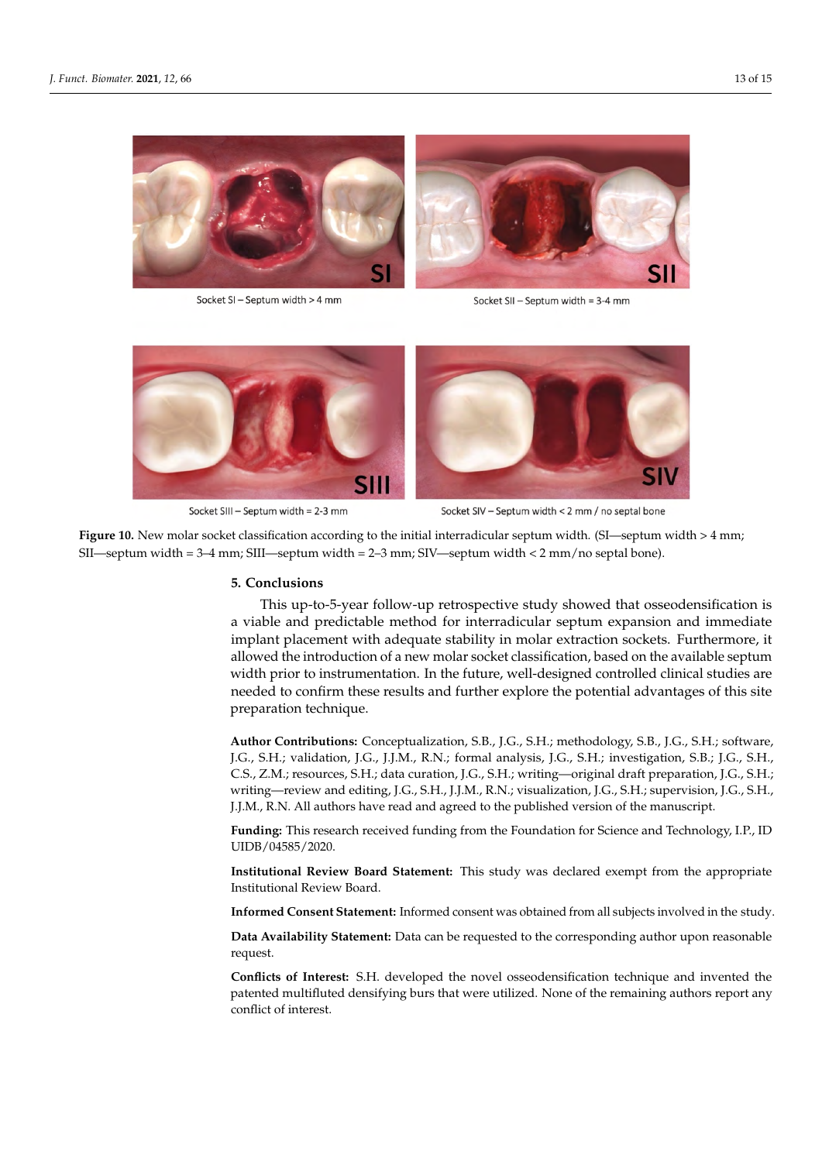<span id="page-12-0"></span>

Socket SI - Septum width > 4 mm

Socket SII - Septum width = 3-4 mm



Socket SIII - Septum width = 2-3 mm

Socket SIV - Septum width < 2 mm / no septal bone

Figure 10. New molar socket classification according to the initial interradicular septum width. (SI—septum width > 4 mm;<br>--mm; SII—septum width = 3–4 mm; SIII—septum width = 2–3 mm; SIV—septum width < 2 mm/no septal bone) SII—septum width = 3–4 mm; SIII—septum width = 2–3 mm; SIV—septum width < 2 mm/no septal bone).

## **5. Conclusions 5. Conclusions**

a viable and predictable method for interradicular septum expansion and immediate viable and predictable method for interradicular septum expansion and immediate implant placement with adequate stability in molar extraction sockets. Furthermore, it mightni placement with adequate stability in molar extraction sockets. Furthermore, it allowed the introduction of a new molar socket classification, based on the available septum and we are introduction of a new molar society classification, select on the available septent width prior to instrumentation. In the future, well-designed controlled clinical studies are septual  $\mu$  is the function of  $\mu$  th prior to  $\mu$  the future, we have function  $\mu$  the future controlled controlled controlled controlled controlled controlled controlled controlled controlled controlled controlled c needed to confirm these results and further explore the potential advantages of this site<br>preparation technique preparation technique. This up-to-5-year follow-up retrospective study showed that osseodensification is

J.G., S.H.; validation, J.G., J.J.M., R.N.; formal analysis, J.G., S.H.; investigation, S.B.; J.G., S.H., .<br>C.S., Z.M.; resources, S.H.; data curation, J.G., S.H.; writing—original draft preparation, J.G., S.H.; writing—review and editing, J.G., S.H., J.J.M., R.N.; visualization, J.G., S.H.; supervision, J.G., S.H., **Author Contributions:** Conceptualization, S.B., J.G., S.H.; methodology, S.B., J.G., S.H.; software, J.J.M., R.N. All authors have read and agreed to the published version of the manuscript.

**Funding:** This research received funding from the Foundation for Science and Technology, I.P., ID UIDB/04585/2020.

**Institutional Review Board Statement:** This study was declared exempt from the appropriate Institutional Review Board.

**Informed Consent Statement:** Informed consent was obtained from all subjects involved in the study.

**Data Availability Statement:** Data can be requested to the corresponding author upon reasonable request.

**Conflicts of Interest:** S.H. developed the novel osseodensification technique and invented the patented multifluted densifying burs that were utilized. None of the remaining authors report any conflict of interest.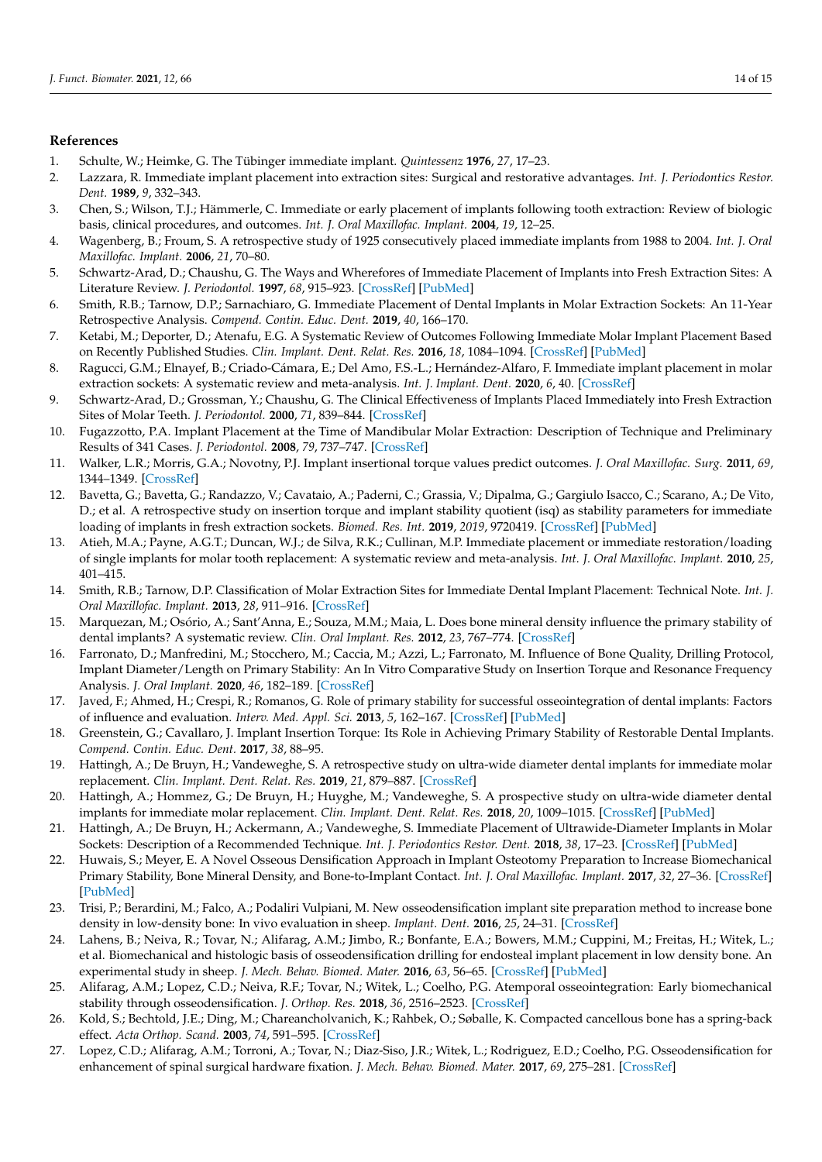#### **References**

- <span id="page-13-0"></span>1. Schulte, W.; Heimke, G. The Tübinger immediate implant. *Quintessenz* **1976**, *27*, 17–23.
- <span id="page-13-1"></span>2. Lazzara, R. Immediate implant placement into extraction sites: Surgical and restorative advantages. *Int. J. Periodontics Restor. Dent.* **1989**, *9*, 332–343.
- 3. Chen, S.; Wilson, T.J.; Hämmerle, C. Immediate or early placement of implants following tooth extraction: Review of biologic basis, clinical procedures, and outcomes. *Int. J. Oral Maxillofac. Implant.* **2004**, *19*, 12–25.
- 4. Wagenberg, B.; Froum, S. A retrospective study of 1925 consecutively placed immediate implants from 1988 to 2004. *Int. J. Oral Maxillofac. Implant.* **2006**, *21*, 70–80.
- <span id="page-13-2"></span>5. Schwartz-Arad, D.; Chaushu, G. The Ways and Wherefores of Immediate Placement of Implants into Fresh Extraction Sites: A Literature Review. *J. Periodontol.* **1997**, *68*, 915–923. [\[CrossRef\]](http://doi.org/10.1902/jop.1997.68.10.915) [\[PubMed\]](http://www.ncbi.nlm.nih.gov/pubmed/9358358)
- <span id="page-13-3"></span>6. Smith, R.B.; Tarnow, D.P.; Sarnachiaro, G. Immediate Placement of Dental Implants in Molar Extraction Sockets: An 11-Year Retrospective Analysis. *Compend. Contin. Educ. Dent.* **2019**, *40*, 166–170.
- <span id="page-13-4"></span>7. Ketabi, M.; Deporter, D.; Atenafu, E.G. A Systematic Review of Outcomes Following Immediate Molar Implant Placement Based on Recently Published Studies. *Clin. Implant. Dent. Relat. Res.* **2016**, *18*, 1084–1094. [\[CrossRef\]](http://doi.org/10.1111/cid.12390) [\[PubMed\]](http://www.ncbi.nlm.nih.gov/pubmed/26856388)
- <span id="page-13-5"></span>8. Ragucci, G.M.; Elnayef, B.; Criado-Cámara, E.; Del Amo, F.S.-L.; Hernández-Alfaro, F. Immediate implant placement in molar extraction sockets: A systematic review and meta-analysis. *Int. J. Implant. Dent.* **2020**, *6*, 40. [\[CrossRef\]](http://doi.org/10.1186/s40729-020-00235-5)
- <span id="page-13-6"></span>9. Schwartz-Arad, D.; Grossman, Y.; Chaushu, G. The Clinical Effectiveness of Implants Placed Immediately into Fresh Extraction Sites of Molar Teeth. *J. Periodontol.* **2000**, *71*, 839–844. [\[CrossRef\]](http://doi.org/10.1902/jop.2000.71.5.839)
- <span id="page-13-7"></span>10. Fugazzotto, P.A. Implant Placement at the Time of Mandibular Molar Extraction: Description of Technique and Preliminary Results of 341 Cases. *J. Periodontol.* **2008**, *79*, 737–747. [\[CrossRef\]](http://doi.org/10.1902/jop.2008.070293)
- <span id="page-13-8"></span>11. Walker, L.R.; Morris, G.A.; Novotny, P.J. Implant insertional torque values predict outcomes. *J. Oral Maxillofac. Surg.* **2011**, *69*, 1344–1349. [\[CrossRef\]](http://doi.org/10.1016/j.joms.2010.11.008)
- <span id="page-13-9"></span>12. Bavetta, G.; Bavetta, G.; Randazzo, V.; Cavataio, A.; Paderni, C.; Grassia, V.; Dipalma, G.; Gargiulo Isacco, C.; Scarano, A.; De Vito, D.; et al. A retrospective study on insertion torque and implant stability quotient (isq) as stability parameters for immediate loading of implants in fresh extraction sockets. *Biomed. Res. Int.* **2019**, *2019*, 9720419. [\[CrossRef\]](http://doi.org/10.1155/2019/9720419) [\[PubMed\]](http://www.ncbi.nlm.nih.gov/pubmed/31781659)
- <span id="page-13-10"></span>13. Atieh, M.A.; Payne, A.G.T.; Duncan, W.J.; de Silva, R.K.; Cullinan, M.P. Immediate placement or immediate restoration/loading of single implants for molar tooth replacement: A systematic review and meta-analysis. *Int. J. Oral Maxillofac. Implant.* **2010**, *25*, 401–415.
- <span id="page-13-11"></span>14. Smith, R.B.; Tarnow, D.P. Classification of Molar Extraction Sites for Immediate Dental Implant Placement: Technical Note. *Int. J. Oral Maxillofac. Implant.* **2013**, *28*, 911–916. [\[CrossRef\]](http://doi.org/10.11607/jomi.2627)
- <span id="page-13-12"></span>15. Marquezan, M.; Osório, A.; Sant'Anna, E.; Souza, M.M.; Maia, L. Does bone mineral density influence the primary stability of dental implants? A systematic review. *Clin. Oral Implant. Res.* **2012**, *23*, 767–774. [\[CrossRef\]](http://doi.org/10.1111/j.1600-0501.2011.02228.x)
- <span id="page-13-13"></span>16. Farronato, D.; Manfredini, M.; Stocchero, M.; Caccia, M.; Azzi, L.; Farronato, M. Influence of Bone Quality, Drilling Protocol, Implant Diameter/Length on Primary Stability: An In Vitro Comparative Study on Insertion Torque and Resonance Frequency Analysis. *J. Oral Implant.* **2020**, *46*, 182–189. [\[CrossRef\]](http://doi.org/10.1563/aaid-joi-D-19-00145)
- <span id="page-13-14"></span>17. Javed, F.; Ahmed, H.; Crespi, R.; Romanos, G. Role of primary stability for successful osseointegration of dental implants: Factors of influence and evaluation. *Interv. Med. Appl. Sci.* **2013**, *5*, 162–167. [\[CrossRef\]](http://doi.org/10.1556/imas.5.2013.4.3) [\[PubMed\]](http://www.ncbi.nlm.nih.gov/pubmed/24381734)
- <span id="page-13-15"></span>18. Greenstein, G.; Cavallaro, J. Implant Insertion Torque: Its Role in Achieving Primary Stability of Restorable Dental Implants. *Compend. Contin. Educ. Dent.* **2017**, *38*, 88–95.
- <span id="page-13-16"></span>19. Hattingh, A.; De Bruyn, H.; Vandeweghe, S. A retrospective study on ultra-wide diameter dental implants for immediate molar replacement. *Clin. Implant. Dent. Relat. Res.* **2019**, *21*, 879–887. [\[CrossRef\]](http://doi.org/10.1111/cid.12759)
- 20. Hattingh, A.; Hommez, G.; De Bruyn, H.; Huyghe, M.; Vandeweghe, S. A prospective study on ultra-wide diameter dental implants for immediate molar replacement. *Clin. Implant. Dent. Relat. Res.* **2018**, *20*, 1009–1015. [\[CrossRef\]](http://doi.org/10.1111/cid.12666) [\[PubMed\]](http://www.ncbi.nlm.nih.gov/pubmed/30255544)
- <span id="page-13-17"></span>21. Hattingh, A.; De Bruyn, H.; Ackermann, A.; Vandeweghe, S. Immediate Placement of Ultrawide-Diameter Implants in Molar Sockets: Description of a Recommended Technique. *Int. J. Periodontics Restor. Dent.* **2018**, *38*, 17–23. [\[CrossRef\]](http://doi.org/10.11607/prd.3433) [\[PubMed\]](http://www.ncbi.nlm.nih.gov/pubmed/29240200)
- <span id="page-13-18"></span>22. Huwais, S.; Meyer, E. A Novel Osseous Densification Approach in Implant Osteotomy Preparation to Increase Biomechanical Primary Stability, Bone Mineral Density, and Bone-to-Implant Contact. *Int. J. Oral Maxillofac. Implant.* **2017**, *32*, 27–36. [\[CrossRef\]](http://doi.org/10.11607/jomi.4817) [\[PubMed\]](http://www.ncbi.nlm.nih.gov/pubmed/27741329)
- <span id="page-13-22"></span>23. Trisi, P.; Berardini, M.; Falco, A.; Podaliri Vulpiani, M. New osseodensification implant site preparation method to increase bone density in low-density bone: In vivo evaluation in sheep. *Implant. Dent.* **2016**, *25*, 24–31. [\[CrossRef\]](http://doi.org/10.1097/ID.0000000000000358)
- <span id="page-13-21"></span>24. Lahens, B.; Neiva, R.; Tovar, N.; Alifarag, A.M.; Jimbo, R.; Bonfante, E.A.; Bowers, M.M.; Cuppini, M.; Freitas, H.; Witek, L.; et al. Biomechanical and histologic basis of osseodensification drilling for endosteal implant placement in low density bone. An experimental study in sheep. *J. Mech. Behav. Biomed. Mater.* **2016**, *63*, 56–65. [\[CrossRef\]](http://doi.org/10.1016/j.jmbbm.2016.06.007) [\[PubMed\]](http://www.ncbi.nlm.nih.gov/pubmed/27341291)
- <span id="page-13-19"></span>25. Alifarag, A.M.; Lopez, C.D.; Neiva, R.F.; Tovar, N.; Witek, L.; Coelho, P.G. Atemporal osseointegration: Early biomechanical stability through osseodensification. *J. Orthop. Res.* **2018**, *36*, 2516–2523. [\[CrossRef\]](http://doi.org/10.1002/jor.23893)
- <span id="page-13-20"></span>26. Kold, S.; Bechtold, J.E.; Ding, M.; Chareancholvanich, K.; Rahbek, O.; Søballe, K. Compacted cancellous bone has a spring-back effect. *Acta Orthop. Scand.* **2003**, *74*, 591–595. [\[CrossRef\]](http://doi.org/10.1080/00016470310018018)
- <span id="page-13-23"></span>27. Lopez, C.D.; Alifarag, A.M.; Torroni, A.; Tovar, N.; Diaz-Siso, J.R.; Witek, L.; Rodriguez, E.D.; Coelho, P.G. Osseodensification for enhancement of spinal surgical hardware fixation. *J. Mech. Behav. Biomed. Mater.* **2017**, *69*, 275–281. [\[CrossRef\]](http://doi.org/10.1016/j.jmbbm.2017.01.020)